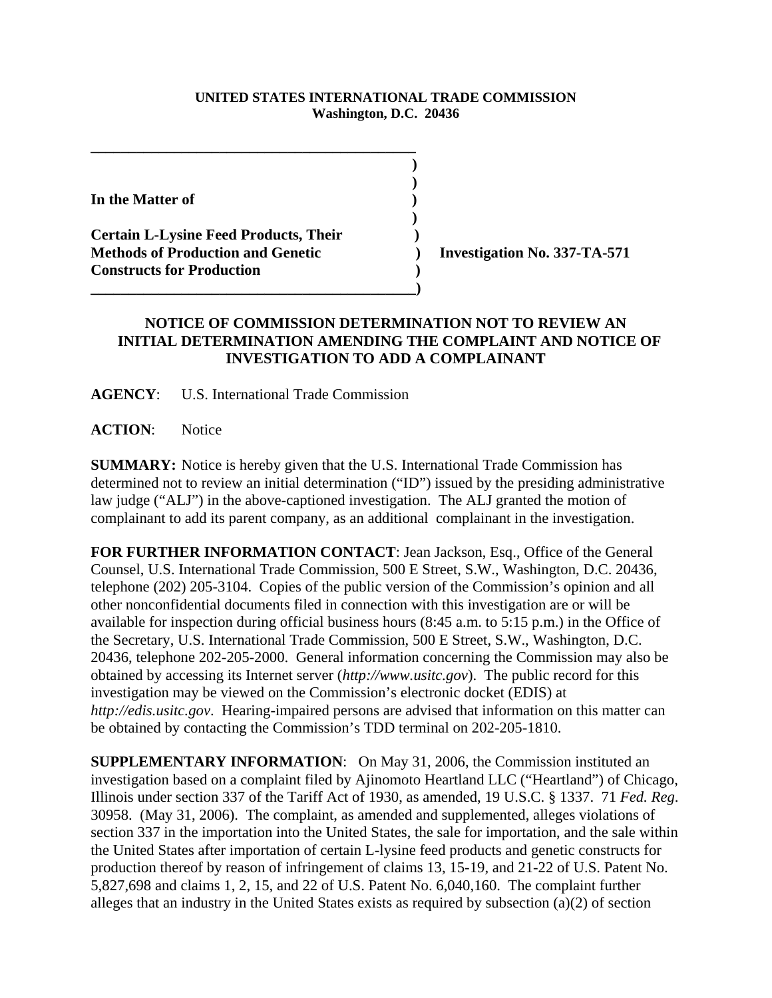## **UNITED STATES INTERNATIONAL TRADE COMMISSION Washington, D.C. 20436**

**In the Matter of )**

**Certain L-Lysine Feed Products, Their ) Methods of Production and Genetic ) Investigation No. 337-TA-571 Constructs for Production )** 

## **NOTICE OF COMMISSION DETERMINATION NOT TO REVIEW AN INITIAL DETERMINATION AMENDING THE COMPLAINT AND NOTICE OF INVESTIGATION TO ADD A COMPLAINANT**

**AGENCY**: U.S. International Trade Commission

**\_\_\_\_\_\_\_\_\_\_\_\_\_\_\_\_\_\_\_\_\_\_\_\_\_\_\_\_\_\_\_\_\_\_\_\_\_\_\_\_\_\_\_ ) )**

 **)**

**\_\_\_\_\_\_\_\_\_\_\_\_\_\_\_\_\_\_\_\_\_\_\_\_\_\_\_\_\_\_\_\_\_\_\_\_\_\_\_\_\_\_\_)**

**ACTION**: Notice

**SUMMARY:** Notice is hereby given that the U.S. International Trade Commission has determined not to review an initial determination ("ID") issued by the presiding administrative law judge ("ALJ") in the above-captioned investigation. The ALJ granted the motion of complainant to add its parent company, as an additional complainant in the investigation.

**FOR FURTHER INFORMATION CONTACT**: Jean Jackson, Esq., Office of the General Counsel, U.S. International Trade Commission, 500 E Street, S.W., Washington, D.C. 20436, telephone (202) 205-3104. Copies of the public version of the Commission's opinion and all other nonconfidential documents filed in connection with this investigation are or will be available for inspection during official business hours (8:45 a.m. to 5:15 p.m.) in the Office of the Secretary, U.S. International Trade Commission, 500 E Street, S.W., Washington, D.C. 20436, telephone 202-205-2000. General information concerning the Commission may also be obtained by accessing its Internet server (*http://www.usitc.gov*). The public record for this investigation may be viewed on the Commission's electronic docket (EDIS) at *http://edis.usitc.gov*. Hearing-impaired persons are advised that information on this matter can be obtained by contacting the Commission's TDD terminal on 202-205-1810.

**SUPPLEMENTARY INFORMATION**: On May 31, 2006, the Commission instituted an investigation based on a complaint filed by Ajinomoto Heartland LLC ("Heartland") of Chicago, Illinois under section 337 of the Tariff Act of 1930, as amended, 19 U.S.C. § 1337. 71 *Fed. Reg*. 30958. (May 31, 2006). The complaint, as amended and supplemented, alleges violations of section 337 in the importation into the United States, the sale for importation, and the sale within the United States after importation of certain L-lysine feed products and genetic constructs for production thereof by reason of infringement of claims 13, 15-19, and 21-22 of U.S. Patent No. 5,827,698 and claims 1, 2, 15, and 22 of U.S. Patent No. 6,040,160. The complaint further alleges that an industry in the United States exists as required by subsection (a)(2) of section